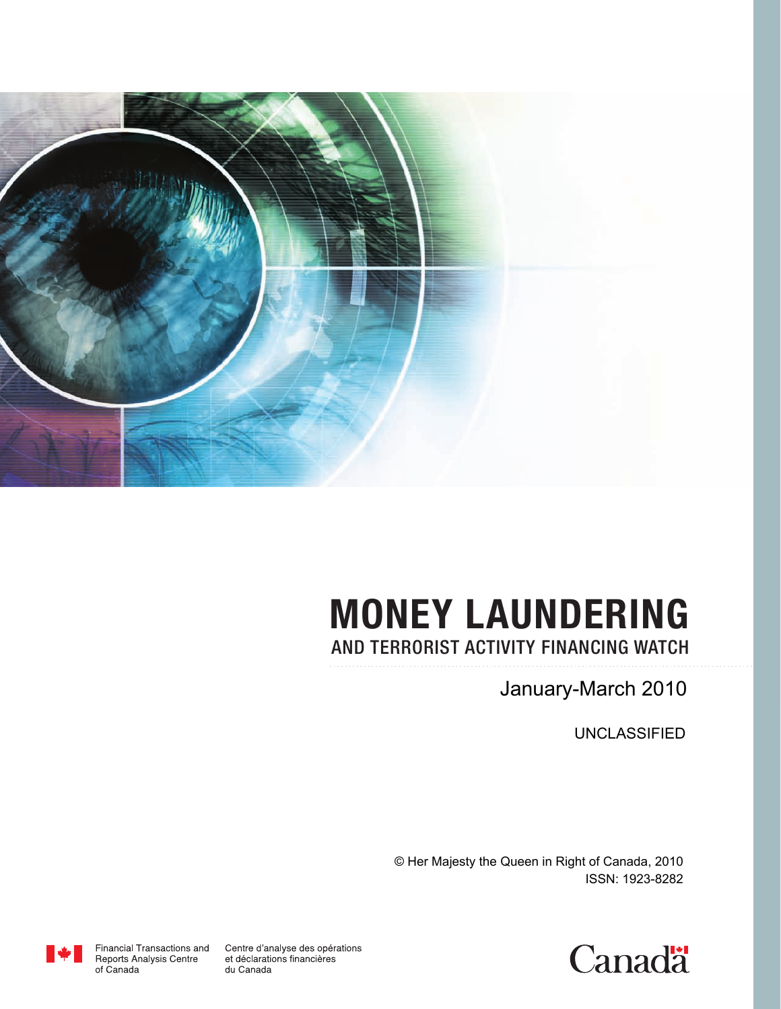

# **MONEY LAUNDERING** AND TERRORIST ACTIVITY FINANCING WATCH

January-March 2010

UNCLASSIFIED

© Her Majesty the Queen in Right of Canada, 2010 ISSN: 1923-8282



Centre d'analyse des opérations et déclarations financières du Canada

Financial Transactions and Reports Analysis Centre of Canada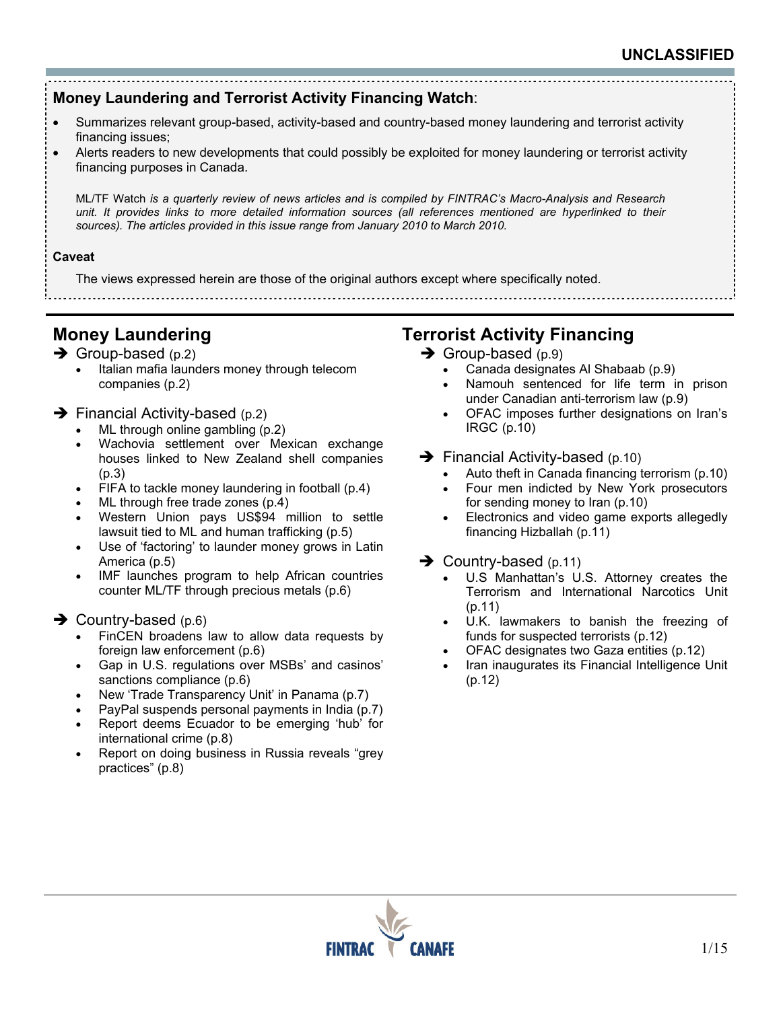

- Summarizes relevant group-based, activity-based and country-based money laundering and terrorist activity financing issues;
- Alerts readers to new developments that could possibly be exploited for money laundering or terrorist activity financing purposes in Canada.

ML/TF Watch *is a quarterly review of news articles and is compiled by FINTRAC's Macro-Analysis and Research unit. It provides links to more detailed information sources (all references mentioned are hyperlinked to their* sources). The articles provided in this issue range from January 2010 to March 2010.

#### **Caveat**

The views expressed herein are those of the original authors except where specifically noted. 

## **Money Laundering**

- $\rightarrow$  Group-based (p.2)
	- Italian mafia launders money through telecom companies (p.2)

#### $\rightarrow$  Financial Activity-based (p.2)

- ML through online gambling (p.2)
- Wachovia settlement over Mexican exchange houses linked to New Zealand shell companies (p.3)
- FIFA to tackle money laundering in football (p.4)
- ML through free trade zones (p.4)
- Western Union pays US\$94 million to settle lawsuit tied to ML and human trafficking (p.5)
- Use of 'factoring' to launder money grows in Latin America (p.5)
- IMF launches program to help African countries counter ML/TF through precious metals (p.6)

#### $\rightarrow$  Country-based (p.6)

- FinCEN broadens law to allow data requests by foreign law enforcement (p.6)
- Gap in U.S. regulations over MSBs' and casinos' sanctions compliance (p.6)
- New 'Trade Transparency Unit' in Panama (p.7)
- PayPal suspends personal payments in India (p.7)
- Report deems Ecuador to be emerging 'hub' for international crime (p.8)
- Report on doing business in Russia reveals "grey practices" (p.8)

## **Terrorist Activity Financing**

- $\rightarrow$  Group-based (p.9)
	- Canada designates Al Shabaab (p.9)
	- Namouh sentenced for life term in prison under Canadian anti-terrorism law (p.9)
	- OFAC imposes further designations on Iran's IRGC (p.10)
- $\rightarrow$  Financial Activity-based (p.10)
	- Auto theft in Canada financing terrorism (p.10)
	- Four men indicted by New York prosecutors for sending money to Iran (p.10)
	- Electronics and video game exports allegedly financing Hizballah (p.11)
- $\rightarrow$  Country-based (p.11)
	- U.S Manhattan's U.S. Attorney creates the Terrorism and International Narcotics Unit (p.11)
	- U.K. lawmakers to banish the freezing of funds for suspected terrorists (p.12)
	- OFAC designates two Gaza entities (p.12)
	- Iran inaugurates its Financial Intelligence Unit (p.12)

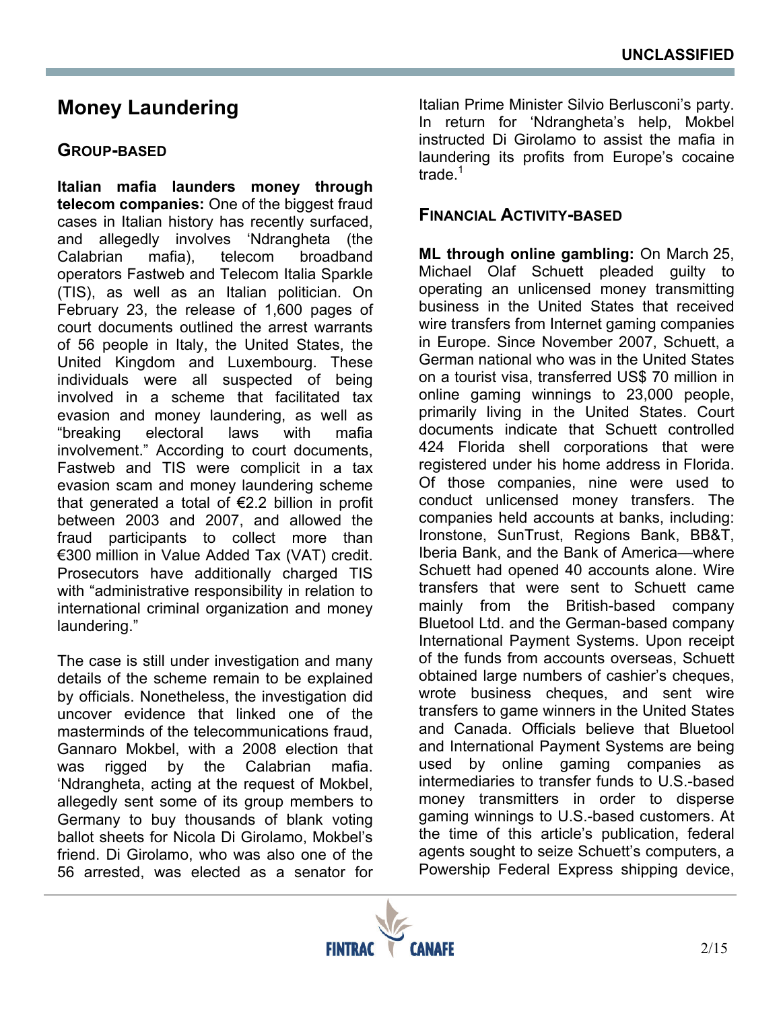# **Money Laundering**

### **GROUP-BASED**

**Italian mafia launders money through telecom companies:** One of the biggest fraud cases in Italian history has recently surfaced, and allegedly involves 'Ndrangheta (the Calabrian mafia), telecom broadband operators Fastweb and Telecom Italia Sparkle (TIS), as well as an Italian politician. On February 23, the release of 1,600 pages of court documents outlined the arrest warrants of 56 people in Italy, the United States, the United Kingdom and Luxembourg. These individuals were all suspected of being involved in a scheme that facilitated tax evasion and money laundering, as well as "breaking electoral laws with mafia involvement." According to court documents, Fastweb and TIS were complicit in a tax evasion scam and money laundering scheme that generated a total of €2.2 billion in profit between 2003 and 2007, and allowed the fraud participants to collect more than €300 million in Value Added Tax (VAT) credit. Prosecutors have additionally charged TIS with "administrative responsibility in relation to international criminal organization and money laundering."

The case is still under investigation and many details of the scheme remain to be explained by officials. Nonetheless, the investigation did uncover evidence that linked one of the masterminds of the telecommunications fraud, Gannaro Mokbel, with a 2008 election that was rigged by the Calabrian mafia. 'Ndrangheta, acting at the request of Mokbel, allegedly sent some of its group members to Germany to buy thousands of blank voting ballot sheets for Nicola Di Girolamo, Mokbel's friend. Di Girolamo, who was also one of the 56 arrested, was elected as a senator for

Italian Prime Minister Silvio Berlusconi's party. In return for 'Ndrangheta's help, Mokbel instructed Di Girolamo to assist the mafia in laundering its profits from Europe's cocaine trade. $<sup>1</sup>$ </sup>

#### **FINANCIAL ACTIVITY-BASED**

**ML through online gambling:** On March 25, Michael Olaf Schuett pleaded guilty to operating an unlicensed money transmitting business in the United States that received wire transfers from Internet gaming companies in Europe. Since November 2007, Schuett, a German national who was in the United States on a tourist visa, transferred US\$ 70 million in online gaming winnings to 23,000 people, primarily living in the United States. Court documents indicate that Schuett controlled 424 Florida shell corporations that were registered under his home address in Florida. Of those companies, nine were used to conduct unlicensed money transfers. The companies held accounts at banks, including: Ironstone, SunTrust, Regions Bank, BB&T, Iberia Bank, and the Bank of America—where Schuett had opened 40 accounts alone. Wire transfers that were sent to Schuett came mainly from the British-based company Bluetool Ltd. and the German-based company International Payment Systems. Upon receipt of the funds from accounts overseas, Schuett obtained large numbers of cashier's cheques, wrote business cheques, and sent wire transfers to game winners in the United States and Canada. Officials believe that Bluetool and International Payment Systems are being used by online gaming companies as intermediaries to transfer funds to U.S.-based money transmitters in order to disperse gaming winnings to U.S.-based customers. At the time of this article's publication, federal agents sought to seize Schuett's computers, a Powership Federal Express shipping device,

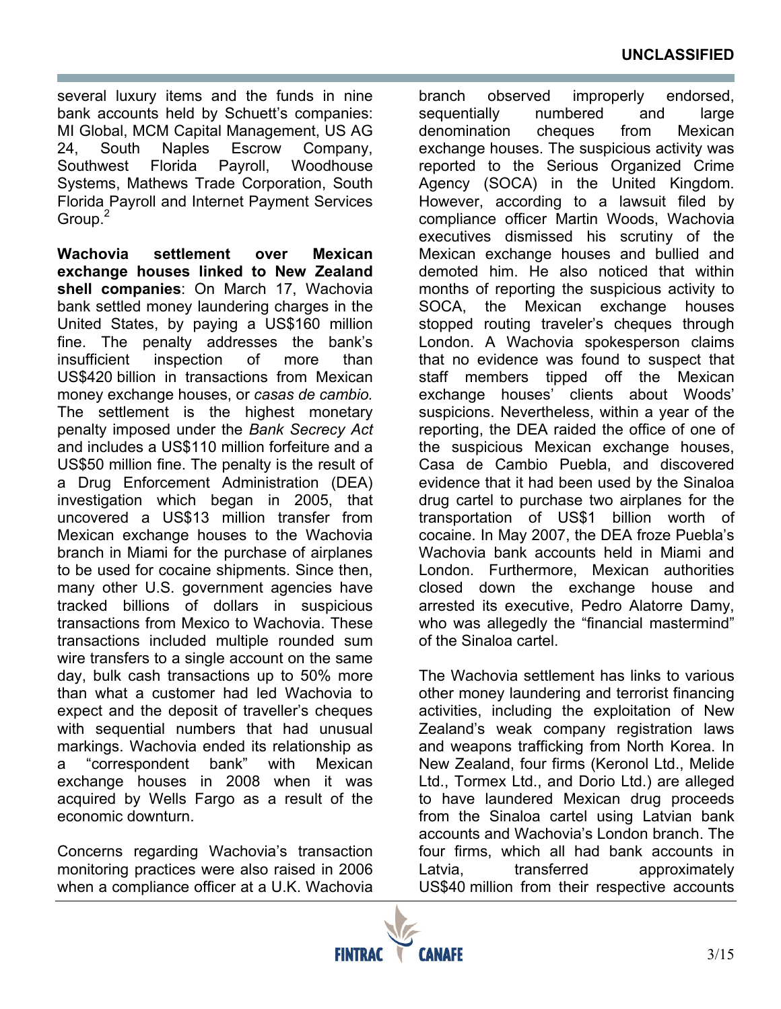several luxury items and the funds in nine bank accounts held by Schuett's companies: MI Global, MCM Capital Management, US AG 24, South Naples Escrow Company, Southwest Florida Payroll, Woodhouse Systems, Mathews Trade Corporation, South Florida Payroll and Internet Payment Services Group. $<sup>2</sup>$ </sup>

**Wachovia settlement over Mexican exchange houses linked to New Zealand shell companies**: On March 17, Wachovia bank settled money laundering charges in the United States, by paying a US\$160 million fine. The penalty addresses the bank's insufficient inspection of more than US\$420 billion in transactions from Mexican money exchange houses, or *casas de cambio.*  The settlement is the highest monetary penalty imposed under the *Bank Secrecy Act* and includes a US\$110 million forfeiture and a US\$50 million fine. The penalty is the result of a Drug Enforcement Administration (DEA) investigation which began in 2005, that uncovered a US\$13 million transfer from Mexican exchange houses to the Wachovia branch in Miami for the purchase of airplanes to be used for cocaine shipments. Since then, many other U.S. government agencies have tracked billions of dollars in suspicious transactions from Mexico to Wachovia. These transactions included multiple rounded sum wire transfers to a single account on the same day, bulk cash transactions up to 50% more than what a customer had led Wachovia to expect and the deposit of traveller's cheques with sequential numbers that had unusual markings. Wachovia ended its relationship as a "correspondent bank" with Mexican exchange houses in 2008 when it was acquired by Wells Fargo as a result of the economic downturn.

Concerns regarding Wachovia's transaction monitoring practices were also raised in 2006 when a compliance officer at a U.K. Wachovia branch observed improperly endorsed, sequentially numbered and large denomination cheques from Mexican exchange houses. The suspicious activity was reported to the Serious Organized Crime Agency (SOCA) in the United Kingdom. However, according to a lawsuit filed by compliance officer Martin Woods, Wachovia executives dismissed his scrutiny of the Mexican exchange houses and bullied and demoted him. He also noticed that within months of reporting the suspicious activity to SOCA, the Mexican exchange houses stopped routing traveler's cheques through London. A Wachovia spokesperson claims that no evidence was found to suspect that staff members tipped off the Mexican exchange houses' clients about Woods' suspicions. Nevertheless, within a year of the reporting, the DEA raided the office of one of the suspicious Mexican exchange houses, Casa de Cambio Puebla, and discovered evidence that it had been used by the Sinaloa drug cartel to purchase two airplanes for the transportation of US\$1 billion worth of cocaine. In May 2007, the DEA froze Puebla's Wachovia bank accounts held in Miami and London. Furthermore, Mexican authorities closed down the exchange house and arrested its executive, Pedro Alatorre Damy, who was allegedly the "financial mastermind" of the Sinaloa cartel.

The Wachovia settlement has links to various other money laundering and terrorist financing activities, including the exploitation of New Zealand's weak company registration laws and weapons trafficking from North Korea. In New Zealand, four firms (Keronol Ltd., Melide Ltd., Tormex Ltd., and Dorio Ltd.) are alleged to have laundered Mexican drug proceeds from the Sinaloa cartel using Latvian bank accounts and Wachovia's London branch. The four firms, which all had bank accounts in Latvia, transferred approximately US\$40 million from their respective accounts

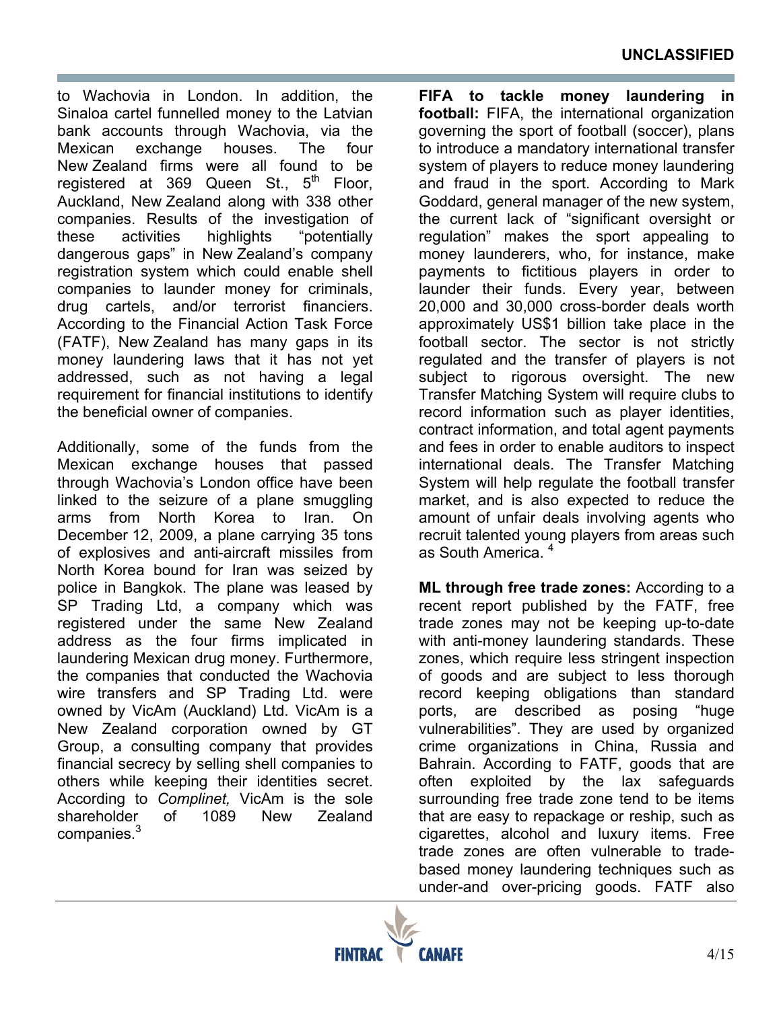to Wachovia in London. In addition, the Sinaloa cartel funnelled money to the Latvian bank accounts through Wachovia, via the Mexican exchange houses. The four New Zealand firms were all found to be registered at 369 Queen St.,  $5<sup>th</sup>$  Floor, Auckland, New Zealand along with 338 other companies. Results of the investigation of these activities highlights "potentially dangerous gaps" in New Zealand's company registration system which could enable shell companies to launder money for criminals, drug cartels, and/or terrorist financiers. According to the Financial Action Task Force (FATF), New Zealand has many gaps in its money laundering laws that it has not yet addressed, such as not having a legal requirement for financial institutions to identify the beneficial owner of companies.

Additionally, some of the funds from the Mexican exchange houses that passed through Wachovia's London office have been linked to the seizure of a plane smuggling arms from North Korea to Iran. On December 12, 2009, a plane carrying 35 tons of explosives and anti-aircraft missiles from North Korea bound for Iran was seized by police in Bangkok. The plane was leased by SP Trading Ltd, a company which was registered under the same New Zealand address as the four firms implicated in laundering Mexican drug money. Furthermore, the companies that conducted the Wachovia wire transfers and SP Trading Ltd. were owned by VicAm (Auckland) Ltd. VicAm is a New Zealand corporation owned by GT Group, a consulting company that provides financial secrecy by selling shell companies to others while keeping their identities secret. According to *Complinet,* VicAm is the sole shareholder of 1089 New Zealand companies.<sup>3</sup>

**FIFA to tackle money laundering in football:** FIFA, the international organization governing the sport of football (soccer), plans to introduce a mandatory international transfer system of players to reduce money laundering and fraud in the sport. According to Mark Goddard, general manager of the new system, the current lack of "significant oversight or regulation" makes the sport appealing to money launderers, who, for instance, make payments to fictitious players in order to launder their funds. Every year, between 20,000 and 30,000 cross-border deals worth approximately US\$1 billion take place in the football sector. The sector is not strictly regulated and the transfer of players is not subject to rigorous oversight. The new Transfer Matching System will require clubs to record information such as player identities, contract information, and total agent payments and fees in order to enable auditors to inspect international deals. The Transfer Matching System will help regulate the football transfer market, and is also expected to reduce the amount of unfair deals involving agents who recruit talented young players from areas such as South America.<sup>4</sup>

**ML through free trade zones:** According to a recent report published by the FATF, free trade zones may not be keeping up-to-date with anti-money laundering standards. These zones, which require less stringent inspection of goods and are subject to less thorough record keeping obligations than standard ports, are described as posing "huge vulnerabilities". They are used by organized crime organizations in China, Russia and Bahrain. According to FATF, goods that are often exploited by the lax safeguards surrounding free trade zone tend to be items that are easy to repackage or reship, such as cigarettes, alcohol and luxury items. Free trade zones are often vulnerable to tradebased money laundering techniques such as under-and over-pricing goods. FATF also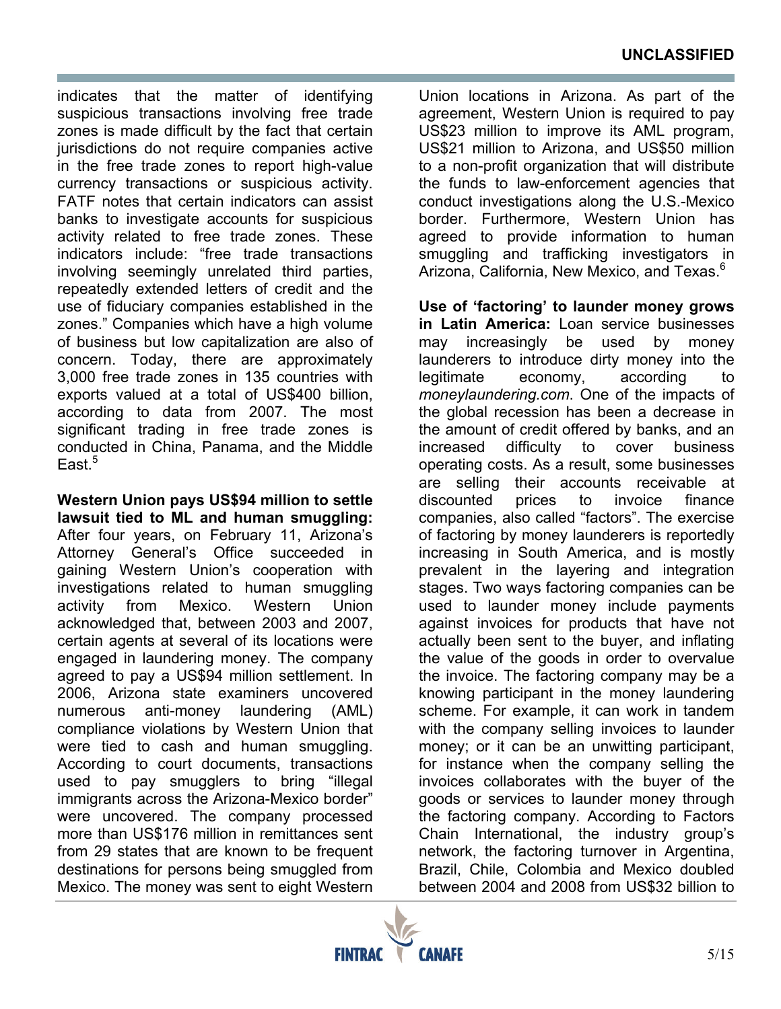indicates that the matter of identifying suspicious transactions involving free trade zones is made difficult by the fact that certain jurisdictions do not require companies active in the free trade zones to report high-value currency transactions or suspicious activity. FATF notes that certain indicators can assist banks to investigate accounts for suspicious activity related to free trade zones. These indicators include: "free trade transactions involving seemingly unrelated third parties, repeatedly extended letters of credit and the use of fiduciary companies established in the zones." Companies which have a high volume of business but low capitalization are also of concern. Today, there are approximately 3,000 free trade zones in 135 countries with exports valued at a total of US\$400 billion, according to data from 2007. The most significant trading in free trade zones is conducted in China, Panama, and the Middle East. $5$ 

**Western Union pays US\$94 million to settle lawsuit tied to ML and human smuggling:** After four years, on February 11, Arizona's Attorney General's Office succeeded in gaining Western Union's cooperation with investigations related to human smuggling activity from Mexico. Western Union acknowledged that, between 2003 and 2007, certain agents at several of its locations were engaged in laundering money. The company agreed to pay a US\$94 million settlement. In 2006, Arizona state examiners uncovered numerous anti-money laundering (AML) compliance violations by Western Union that were tied to cash and human smuggling. According to court documents, transactions used to pay smugglers to bring "illegal immigrants across the Arizona-Mexico border" were uncovered. The company processed more than US\$176 million in remittances sent from 29 states that are known to be frequent destinations for persons being smuggled from Mexico. The money was sent to eight Western

Union locations in Arizona. As part of the agreement, Western Union is required to pay US\$23 million to improve its AML program, US\$21 million to Arizona, and US\$50 million to a non-profit organization that will distribute the funds to law-enforcement agencies that conduct investigations along the U.S.-Mexico border. Furthermore, Western Union has agreed to provide information to human smuggling and trafficking investigators in Arizona, California, New Mexico, and Texas.<sup>6</sup>

**Use of 'factoring' to launder money grows in Latin America:** Loan service businesses may increasingly be used by money launderers to introduce dirty money into the legitimate economy, according to *moneylaundering.com*. One of the impacts of the global recession has been a decrease in the amount of credit offered by banks, and an increased difficulty to cover business operating costs. As a result, some businesses are selling their accounts receivable at discounted prices to invoice finance companies, also called "factors". The exercise of factoring by money launderers is reportedly increasing in South America, and is mostly prevalent in the layering and integration stages. Two ways factoring companies can be used to launder money include payments against invoices for products that have not actually been sent to the buyer, and inflating the value of the goods in order to overvalue the invoice. The factoring company may be a knowing participant in the money laundering scheme. For example, it can work in tandem with the company selling invoices to launder money; or it can be an unwitting participant, for instance when the company selling the invoices collaborates with the buyer of the goods or services to launder money through the factoring company. According to Factors Chain International, the industry group's network, the factoring turnover in Argentina, Brazil, Chile, Colombia and Mexico doubled between 2004 and 2008 from US\$32 billion to

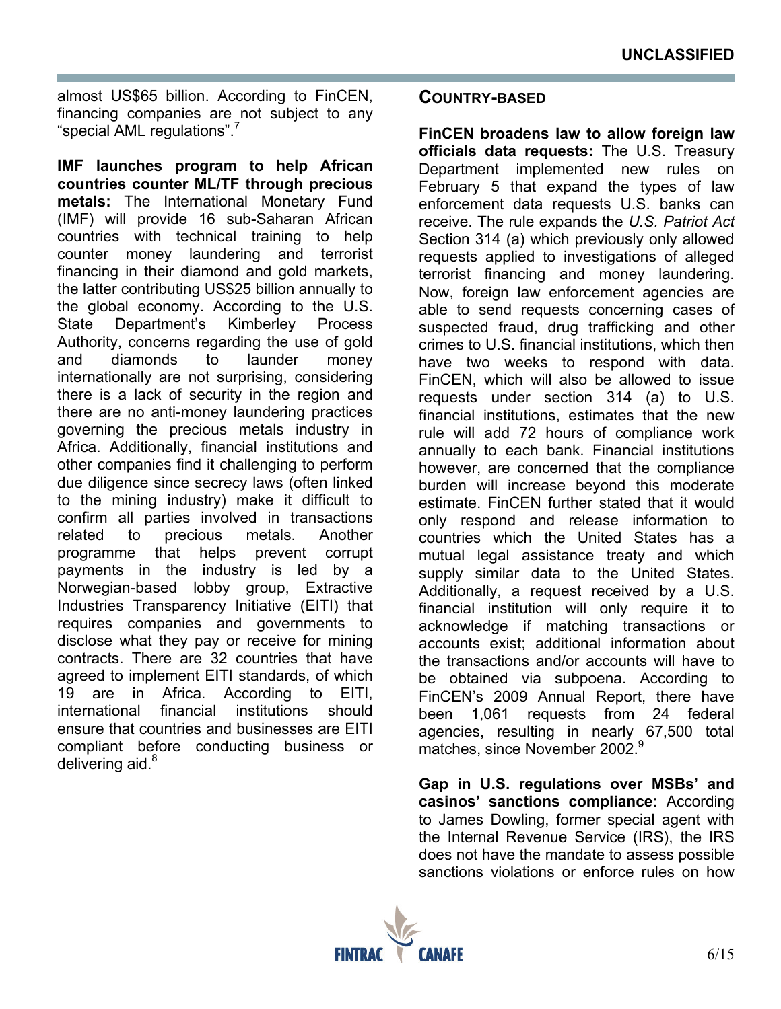almost US\$65 billion. According to FinCEN, financing companies are not subject to any "special AML regulations".<sup>7</sup>

**IMF launches program to help African countries counter ML/TF through precious metals:** The International Monetary Fund (IMF) will provide 16 sub-Saharan African countries with technical training to help counter money laundering and terrorist financing in their diamond and gold markets, the latter contributing US\$25 billion annually to the global economy. According to the U.S. State Department's Kimberley Process Authority, concerns regarding the use of gold and diamonds to launder money internationally are not surprising, considering there is a lack of security in the region and there are no anti-money laundering practices governing the precious metals industry in Africa. Additionally, financial institutions and other companies find it challenging to perform due diligence since secrecy laws (often linked to the mining industry) make it difficult to confirm all parties involved in transactions related to precious metals. Another programme that helps prevent corrupt payments in the industry is led by a Norwegian-based lobby group, Extractive Industries Transparency Initiative (EITI) that requires companies and governments to disclose what they pay or receive for mining contracts. There are 32 countries that have agreed to implement EITI standards, of which 19 are in Africa. According to EITI, international financial institutions should ensure that countries and businesses are EITI compliant before conducting business or delivering aid. $8$ 

#### **COUNTRY-BASED**

**FinCEN broadens law to allow foreign law officials data requests:** The U.S. Treasury Department implemented new rules on February 5 that expand the types of law enforcement data requests U.S. banks can receive. The rule expands the *U.S. Patriot Act* Section 314 (a) which previously only allowed requests applied to investigations of alleged terrorist financing and money laundering. Now, foreign law enforcement agencies are able to send requests concerning cases of suspected fraud, drug trafficking and other crimes to U.S. financial institutions, which then have two weeks to respond with data. FinCEN, which will also be allowed to issue requests under section 314 (a) to U.S. financial institutions, estimates that the new rule will add 72 hours of compliance work annually to each bank. Financial institutions however, are concerned that the compliance burden will increase beyond this moderate estimate. FinCEN further stated that it would only respond and release information to countries which the United States has a mutual legal assistance treaty and which supply similar data to the United States. Additionally, a request received by a U.S. financial institution will only require it to acknowledge if matching transactions or accounts exist; additional information about the transactions and/or accounts will have to be obtained via subpoena. According to FinCEN's 2009 Annual Report, there have been 1,061 requests from 24 federal agencies, resulting in nearly 67,500 total matches, since November 2002.<sup>9</sup>

**Gap in U.S. regulations over MSBs' and casinos' sanctions compliance:** According to James Dowling, former special agent with the Internal Revenue Service (IRS), the IRS does not have the mandate to assess possible sanctions violations or enforce rules on how

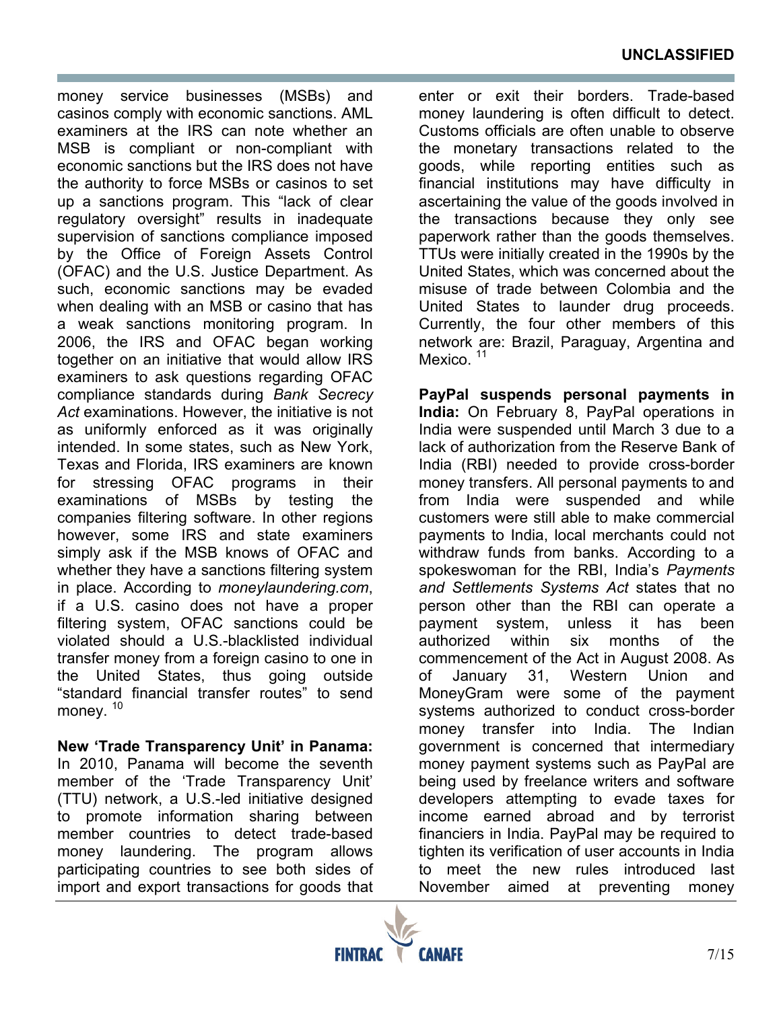money service businesses (MSBs) and casinos comply with economic sanctions. AML examiners at the IRS can note whether an MSB is compliant or non-compliant with economic sanctions but the IRS does not have the authority to force MSBs or casinos to set up a sanctions program. This "lack of clear regulatory oversight" results in inadequate supervision of sanctions compliance imposed by the Office of Foreign Assets Control (OFAC) and the U.S. Justice Department. As such, economic sanctions may be evaded when dealing with an MSB or casino that has a weak sanctions monitoring program. In 2006, the IRS and OFAC began working together on an initiative that would allow IRS examiners to ask questions regarding OFAC compliance standards during *Bank Secrecy Act* examinations. However, the initiative is not as uniformly enforced as it was originally intended. In some states, such as New York, Texas and Florida, IRS examiners are known for stressing OFAC programs in their examinations of MSBs by testing the companies filtering software. In other regions however, some IRS and state examiners simply ask if the MSB knows of OFAC and whether they have a sanctions filtering system in place. According to *moneylaundering.com*, if a U.S. casino does not have a proper filtering system, OFAC sanctions could be violated should a U.S.-blacklisted individual transfer money from a foreign casino to one in the United States, thus going outside "standard financial transfer routes" to send money.<sup>10</sup>

**New 'Trade Transparency Unit' in Panama:**  In 2010, Panama will become the seventh member of the 'Trade Transparency Unit' (TTU) network, a U.S.-led initiative designed to promote information sharing between member countries to detect trade-based money laundering. The program allows participating countries to see both sides of import and export transactions for goods that enter or exit their borders. Trade-based money laundering is often difficult to detect. Customs officials are often unable to observe the monetary transactions related to the goods, while reporting entities such as financial institutions may have difficulty in ascertaining the value of the goods involved in the transactions because they only see paperwork rather than the goods themselves. TTUs were initially created in the 1990s by the United States, which was concerned about the misuse of trade between Colombia and the United States to launder drug proceeds. Currently, the four other members of this network are: Brazil, Paraguay, Argentina and Mexico.<sup>11</sup>

**PayPal suspends personal payments in India:** On February 8, PayPal operations in India were suspended until March 3 due to a lack of authorization from the Reserve Bank of India (RBI) needed to provide cross-border money transfers. All personal payments to and from India were suspended and while customers were still able to make commercial payments to India, local merchants could not withdraw funds from banks. According to a spokeswoman for the RBI, India's *Payments and Settlements Systems Act* states that no person other than the RBI can operate a payment system, unless it has been authorized within six months of the commencement of the Act in August 2008. As of January 31, Western Union and MoneyGram were some of the payment systems authorized to conduct cross-border money transfer into India. The Indian government is concerned that intermediary money payment systems such as PayPal are being used by freelance writers and software developers attempting to evade taxes for income earned abroad and by terrorist financiers in India. PayPal may be required to tighten its verification of user accounts in India to meet the new rules introduced last November aimed at preventing money

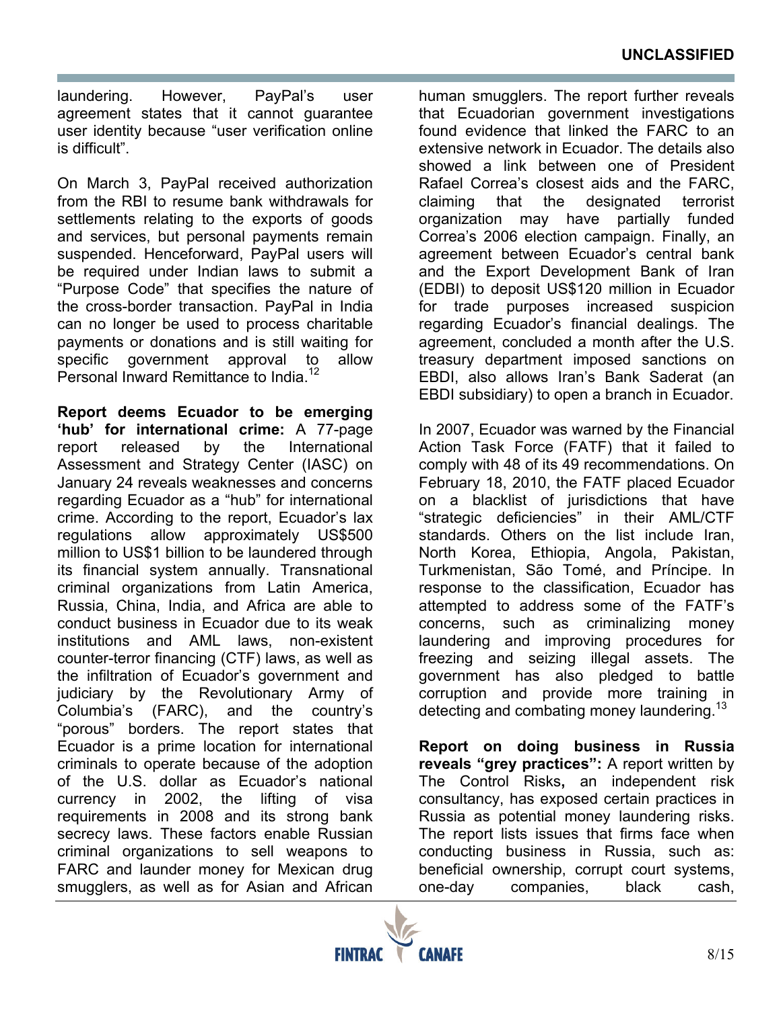laundering. However, PayPal's user agreement states that it cannot guarantee user identity because "user verification online is difficult".

On March 3, PayPal received authorization from the RBI to resume bank withdrawals for settlements relating to the exports of goods and services, but personal payments remain suspended. Henceforward, PayPal users will be required under Indian laws to submit a "Purpose Code" that specifies the nature of the cross-border transaction. PayPal in India can no longer be used to process charitable payments or donations and is still waiting for specific government approval to allow Personal Inward Remittance to India.<sup>12</sup>

**Report deems Ecuador to be emerging 'hub' for international crime:** A 77-page report released by the International Assessment and Strategy Center (IASC) on January 24 reveals weaknesses and concerns regarding Ecuador as a "hub" for international crime. According to the report, Ecuador's lax regulations allow approximately US\$500 million to US\$1 billion to be laundered through its financial system annually. Transnational criminal organizations from Latin America, Russia, China, India, and Africa are able to conduct business in Ecuador due to its weak institutions and AML laws, non-existent counter-terror financing (CTF) laws, as well as the infiltration of Ecuador's government and judiciary by the Revolutionary Army of Columbia's (FARC), and the country's "porous" borders. The report states that Ecuador is a prime location for international criminals to operate because of the adoption of the U.S. dollar as Ecuador's national currency in 2002, the lifting of visa requirements in 2008 and its strong bank secrecy laws. These factors enable Russian criminal organizations to sell weapons to FARC and launder money for Mexican drug smugglers, as well as for Asian and African human smugglers. The report further reveals that Ecuadorian government investigations found evidence that linked the FARC to an extensive network in Ecuador. The details also showed a link between one of President Rafael Correa's closest aids and the FARC, claiming that the designated terrorist organization may have partially funded Correa's 2006 election campaign. Finally, an agreement between Ecuador's central bank and the Export Development Bank of Iran (EDBI) to deposit US\$120 million in Ecuador for trade purposes increased suspicion regarding Ecuador's financial dealings. The agreement, concluded a month after the U.S. treasury department imposed sanctions on EBDI, also allows Iran's Bank Saderat (an EBDI subsidiary) to open a branch in Ecuador.

In 2007, Ecuador was warned by the Financial Action Task Force (FATF) that it failed to comply with 48 of its 49 recommendations. On February 18, 2010, the FATF placed Ecuador on a blacklist of jurisdictions that have "strategic deficiencies" in their AML/CTF standards. Others on the list include Iran, North Korea, Ethiopia, Angola, Pakistan, Turkmenistan, São Tomé, and Príncipe. In response to the classification, Ecuador has attempted to address some of the FATF's concerns, such as criminalizing money laundering and improving procedures for freezing and seizing illegal assets. The government has also pledged to battle corruption and provide more training in detecting and combating money laundering.<sup>13</sup>

**Report on doing business in Russia reveals "grey practices":** A report written by The Control Risks**,** an independent risk consultancy, has exposed certain practices in Russia as potential money laundering risks. The report lists issues that firms face when conducting business in Russia, such as: beneficial ownership, corrupt court systems, one-day companies, black cash,

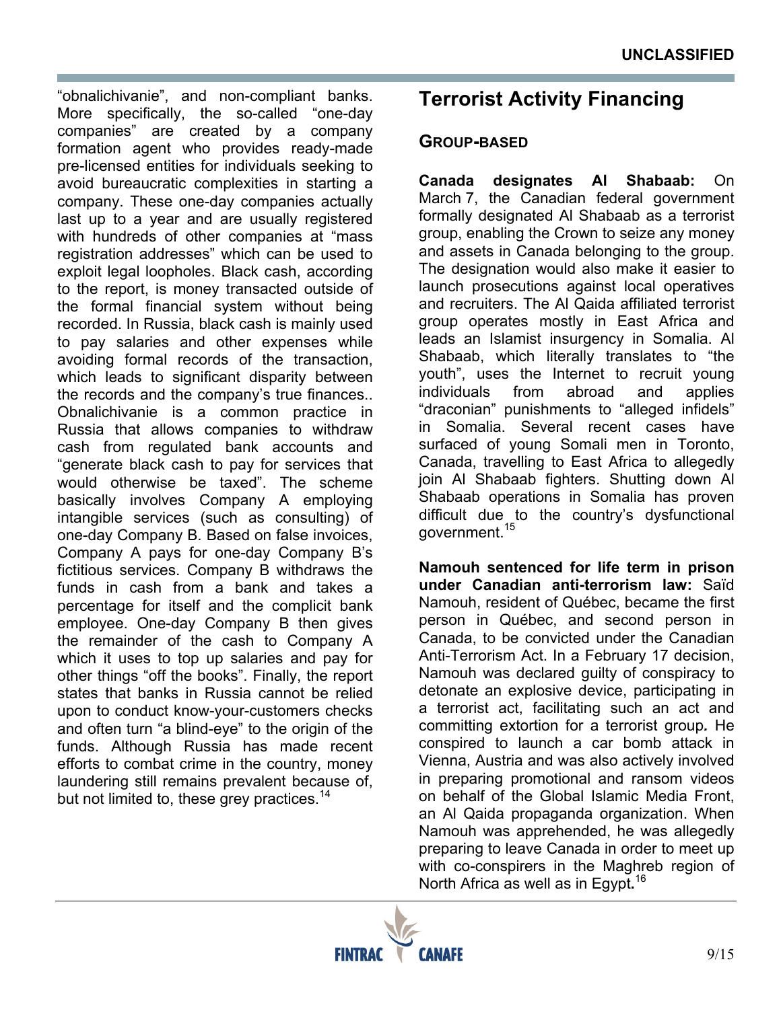"obnalichivanie", and non-compliant banks. More specifically, the so-called "one-day companies" are created by a company formation agent who provides ready-made pre-licensed entities for individuals seeking to avoid bureaucratic complexities in starting a company. These one-day companies actually last up to a year and are usually registered with hundreds of other companies at "mass registration addresses" which can be used to exploit legal loopholes. Black cash, according to the report, is money transacted outside of the formal financial system without being recorded. In Russia, black cash is mainly used to pay salaries and other expenses while avoiding formal records of the transaction, which leads to significant disparity between the records and the company's true finances.. Obnalichivanie is a common practice in Russia that allows companies to withdraw cash from regulated bank accounts and "generate black cash to pay for services that would otherwise be taxed". The scheme basically involves Company A employing intangible services (such as consulting) of one-day Company B. Based on false invoices, Company A pays for one-day Company B's fictitious services. Company B withdraws the funds in cash from a bank and takes a percentage for itself and the complicit bank employee. One-day Company B then gives the remainder of the cash to Company A which it uses to top up salaries and pay for other things "off the books". Finally, the report states that banks in Russia cannot be relied upon to conduct know-your-customers checks and often turn "a blind-eye" to the origin of the funds. Although Russia has made recent efforts to combat crime in the country, money laundering still remains prevalent because of, but not limited to, these grey practices.<sup>14</sup>

# **Terrorist Activity Financing**

### **GROUP-BASED**

**Canada designates Al Shabaab:** On March 7, the Canadian federal government formally designated Al Shabaab as a terrorist group, enabling the Crown to seize any money and assets in Canada belonging to the group. The designation would also make it easier to launch prosecutions against local operatives and recruiters. The Al Qaida affiliated terrorist group operates mostly in East Africa and leads an Islamist insurgency in Somalia. Al Shabaab, which literally translates to "the youth", uses the Internet to recruit young individuals from abroad and applies "draconian" punishments to "alleged infidels" in Somalia. Several recent cases have surfaced of young Somali men in Toronto, Canada, travelling to East Africa to allegedly join Al Shabaab fighters. Shutting down Al Shabaab operations in Somalia has proven difficult due to the country's dysfunctional government.15

**Namouh sentenced for life term in prison under Canadian anti-terrorism law:** Saïd Namouh, resident of Québec, became the first person in Québec, and second person in Canada, to be convicted under the Canadian Anti-Terrorism Act. In a February 17 decision, Namouh was declared guilty of conspiracy to detonate an explosive device, participating in a terrorist act, facilitating such an act and committing extortion for a terrorist group*.* He conspired to launch a car bomb attack in Vienna, Austria and was also actively involved in preparing promotional and ransom videos on behalf of the Global Islamic Media Front, an Al Qaida propaganda organization. When Namouh was apprehended, he was allegedly preparing to leave Canada in order to meet up with co-conspirers in the Maghreb region of North Africa as well as in Egypt**.** 16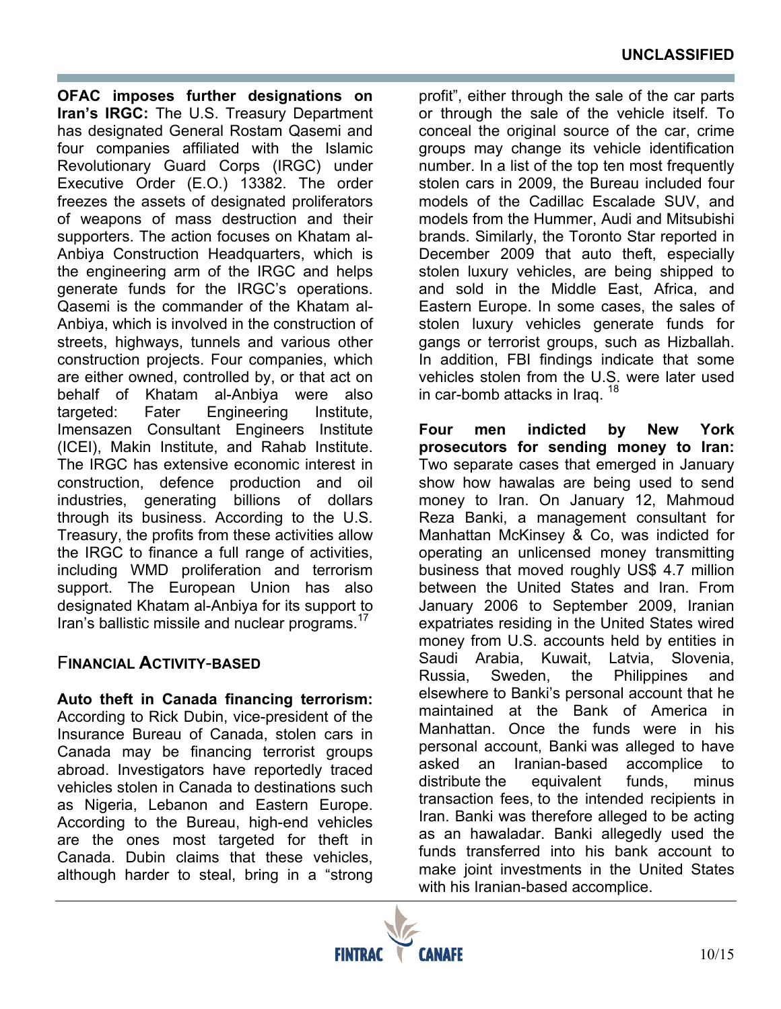**OFAC imposes further designations on Iran's IRGC:** The U.S. Treasury Department has designated General Rostam Qasemi and four companies affiliated with the Islamic Revolutionary Guard Corps (IRGC) under Executive Order (E.O.) 13382. The order freezes the assets of designated proliferators of weapons of mass destruction and their supporters. The action focuses on Khatam al-Anbiya Construction Headquarters, which is the engineering arm of the IRGC and helps generate funds for the IRGC's operations. Qasemi is the commander of the Khatam al-Anbiya, which is involved in the construction of streets, highways, tunnels and various other construction projects. Four companies, which are either owned, controlled by, or that act on behalf of Khatam al-Anbiya were also targeted: Fater Engineering Institute, Imensazen Consultant Engineers Institute (ICEI), Makin Institute, and Rahab Institute. The IRGC has extensive economic interest in construction, defence production and oil industries, generating billions of dollars through its business. According to the U.S. Treasury, the profits from these activities allow the IRGC to finance a full range of activities, including WMD proliferation and terrorism support. The European Union has also designated Khatam al-Anbiya for its support to Iran's ballistic missile and nuclear programs.<sup>17</sup>

#### F**INANCIAL ACTIVITY**-**BASED**

**Auto theft in Canada financing terrorism:**  According to Rick Dubin, vice-president of the Insurance Bureau of Canada, stolen cars in Canada may be financing terrorist groups abroad. Investigators have reportedly traced vehicles stolen in Canada to destinations such as Nigeria, Lebanon and Eastern Europe. According to the Bureau, high-end vehicles are the ones most targeted for theft in Canada. Dubin claims that these vehicles, although harder to steal, bring in a "strong

profit", either through the sale of the car parts or through the sale of the vehicle itself. To conceal the original source of the car, crime groups may change its vehicle identification number. In a list of the top ten most frequently stolen cars in 2009, the Bureau included four models of the Cadillac Escalade SUV, and models from the Hummer, Audi and Mitsubishi brands. Similarly, the Toronto Star reported in December 2009 that auto theft, especially stolen luxury vehicles, are being shipped to and sold in the Middle East, Africa, and Eastern Europe. In some cases, the sales of stolen luxury vehicles generate funds for gangs or terrorist groups, such as Hizballah. In addition, FBI findings indicate that some vehicles stolen from the U.S. were later used in car-bomb attacks in Iraq.<sup>18</sup>

**Four men indicted by New York prosecutors for sending money to Iran:** Two separate cases that emerged in January show how hawalas are being used to send money to Iran. On January 12, Mahmoud Reza Banki, a management consultant for Manhattan McKinsey & Co, was indicted for operating an unlicensed money transmitting business that moved roughly US\$ 4.7 million between the United States and Iran. From January 2006 to September 2009, Iranian expatriates residing in the United States wired money from U.S. accounts held by entities in Saudi Arabia, Kuwait, Latvia, Slovenia, Russia, Sweden, the Philippines and elsewhere to Banki's personal account that he maintained at the Bank of America in Manhattan. Once the funds were in his personal account, Banki was alleged to have asked an Iranian-based accomplice to distribute the equivalent funds, minus transaction fees, to the intended recipients in Iran. Banki was therefore alleged to be acting as an hawaladar. Banki allegedly used the funds transferred into his bank account to make joint investments in the United States with his Iranian-based accomplice.

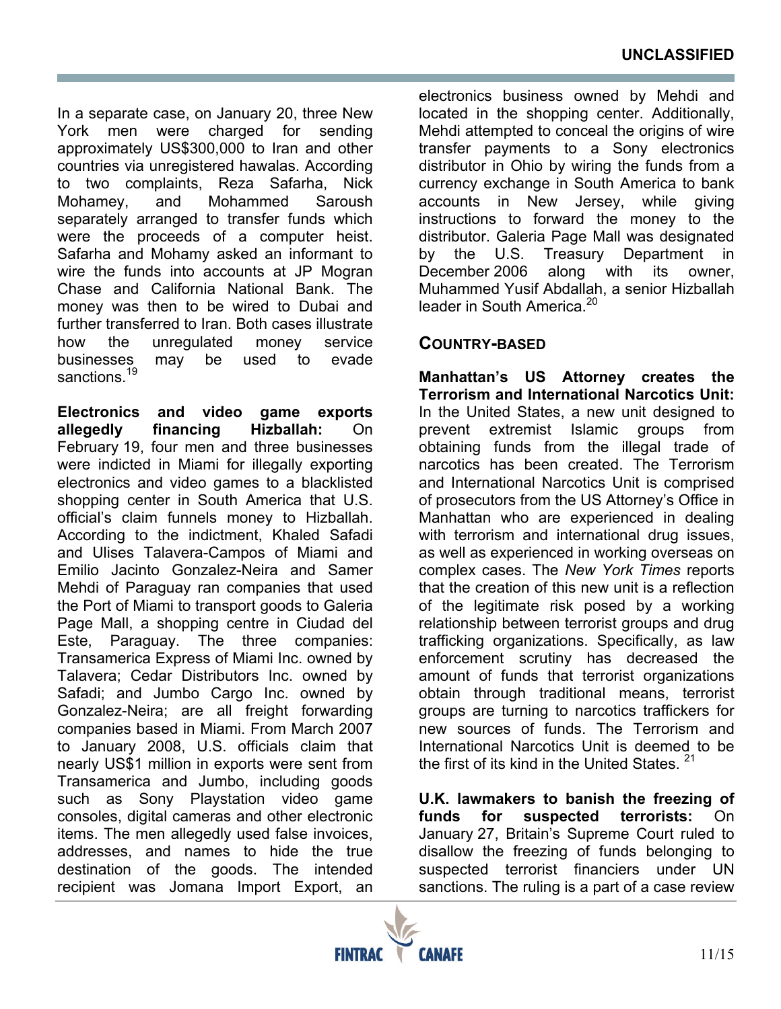In a separate case, on January 20, three New York men were charged for sending approximately US\$300,000 to Iran and other countries via unregistered hawalas. According to two complaints, Reza Safarha, Nick Mohamey, and Mohammed Saroush separately arranged to transfer funds which were the proceeds of a computer heist. Safarha and Mohamy asked an informant to wire the funds into accounts at JP Mogran Chase and California National Bank. The money was then to be wired to Dubai and further transferred to Iran. Both cases illustrate how the unregulated money service businesses may be used to evade sanctions.<sup>19</sup>

**Electronics and video game exports allegedly financing Hizballah:** On February 19, four men and three businesses were indicted in Miami for illegally exporting electronics and video games to a blacklisted shopping center in South America that U.S. official's claim funnels money to Hizballah. According to the indictment, Khaled Safadi and Ulises Talavera-Campos of Miami and Emilio Jacinto Gonzalez-Neira and Samer Mehdi of Paraguay ran companies that used the Port of Miami to transport goods to Galeria Page Mall, a shopping centre in Ciudad del Este, Paraguay. The three companies: Transamerica Express of Miami Inc. owned by Talavera; Cedar Distributors Inc. owned by Safadi; and Jumbo Cargo Inc. owned by Gonzalez-Neira; are all freight forwarding companies based in Miami. From March 2007 to January 2008, U.S. officials claim that nearly US\$1 million in exports were sent from Transamerica and Jumbo, including goods such as Sony Playstation video game consoles, digital cameras and other electronic items. The men allegedly used false invoices, addresses, and names to hide the true destination of the goods. The intended recipient was Jomana Import Export, an

electronics business owned by Mehdi and located in the shopping center. Additionally, Mehdi attempted to conceal the origins of wire transfer payments to a Sony electronics distributor in Ohio by wiring the funds from a currency exchange in South America to bank accounts in New Jersey, while giving instructions to forward the money to the distributor. Galeria Page Mall was designated by the U.S. Treasury Department in December 2006 along with its owner, Muhammed Yusif Abdallah, a senior Hizballah leader in South America<sup>20</sup>

#### **COUNTRY-BASED**

**Manhattan's US Attorney creates the Terrorism and International Narcotics Unit:**  In the United States, a new unit designed to prevent extremist Islamic groups from obtaining funds from the illegal trade of narcotics has been created. The Terrorism and International Narcotics Unit is comprised of prosecutors from the US Attorney's Office in Manhattan who are experienced in dealing with terrorism and international drug issues, as well as experienced in working overseas on complex cases. The *New York Times* reports that the creation of this new unit is a reflection of the legitimate risk posed by a working relationship between terrorist groups and drug trafficking organizations. Specifically, as law enforcement scrutiny has decreased the amount of funds that terrorist organizations obtain through traditional means, terrorist groups are turning to narcotics traffickers for new sources of funds. The Terrorism and International Narcotics Unit is deemed to be the first of its kind in the United States. <sup>21</sup>

**U.K. lawmakers to banish the freezing of funds for suspected terrorists:** On January 27, Britain's Supreme Court ruled to disallow the freezing of funds belonging to suspected terrorist financiers under UN sanctions. The ruling is a part of a case review

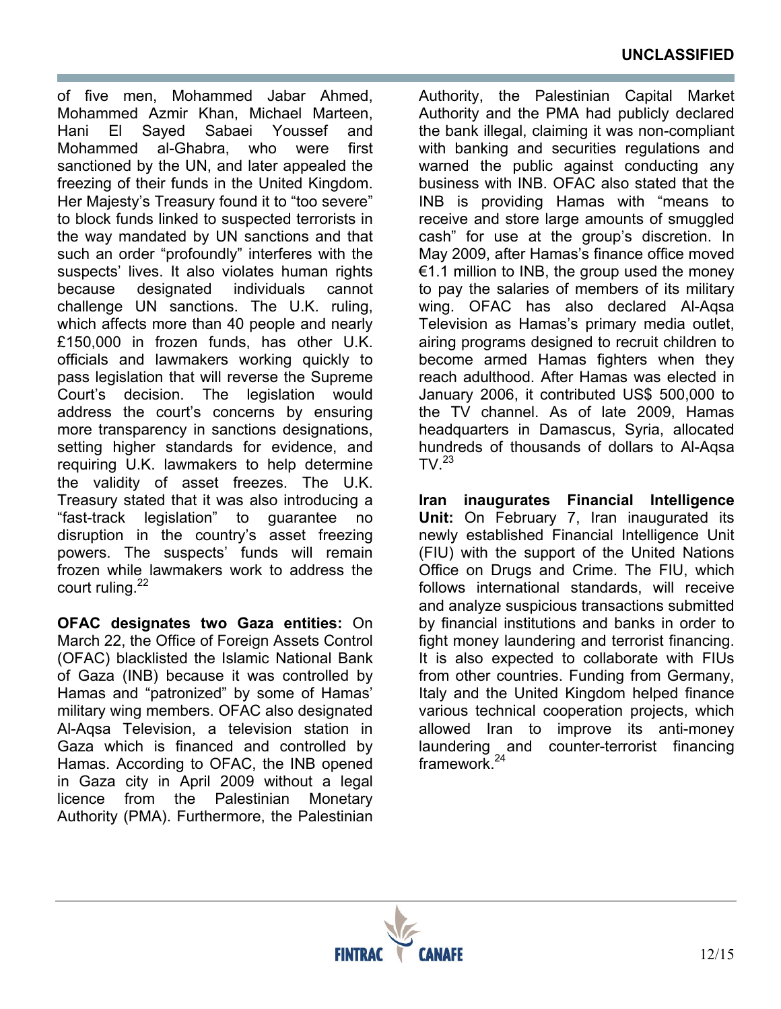of five men, Mohammed Jabar Ahmed, Mohammed Azmir Khan, Michael Marteen, Hani El Sayed Sabaei Youssef and Mohammed al-Ghabra, who were first sanctioned by the UN, and later appealed the freezing of their funds in the United Kingdom. Her Majesty's Treasury found it to "too severe" to block funds linked to suspected terrorists in the way mandated by UN sanctions and that such an order "profoundly" interferes with the suspects' lives. It also violates human rights because designated individuals cannot challenge UN sanctions. The U.K. ruling, which affects more than 40 people and nearly £150,000 in frozen funds, has other U.K. officials and lawmakers working quickly to pass legislation that will reverse the Supreme Court's decision. The legislation would address the court's concerns by ensuring more transparency in sanctions designations, setting higher standards for evidence, and requiring U.K. lawmakers to help determine the validity of asset freezes. The U.K. Treasury stated that it was also introducing a "fast-track legislation" to guarantee no disruption in the country's asset freezing powers. The suspects' funds will remain frozen while lawmakers work to address the court ruling.<sup>22</sup>

**OFAC designates two Gaza entities:** On March 22, the Office of Foreign Assets Control (OFAC) blacklisted the Islamic National Bank of Gaza (INB) because it was controlled by Hamas and "patronized" by some of Hamas' military wing members. OFAC also designated Al-Aqsa Television, a television station in Gaza which is financed and controlled by Hamas. According to OFAC, the INB opened in Gaza city in April 2009 without a legal licence from the Palestinian Monetary Authority (PMA). Furthermore, the Palestinian

Authority, the Palestinian Capital Market Authority and the PMA had publicly declared the bank illegal, claiming it was non-compliant with banking and securities regulations and warned the public against conducting any business with INB. OFAC also stated that the INB is providing Hamas with "means to receive and store large amounts of smuggled cash" for use at the group's discretion. In May 2009, after Hamas's finance office moved €1.1 million to INB, the group used the money to pay the salaries of members of its military wing. OFAC has also declared Al-Aqsa Television as Hamas's primary media outlet, airing programs designed to recruit children to become armed Hamas fighters when they reach adulthood. After Hamas was elected in January 2006, it contributed US\$ 500,000 to the TV channel. As of late 2009, Hamas headquarters in Damascus, Syria, allocated hundreds of thousands of dollars to Al-Aqsa  $TV<sup>23</sup>$ 

**Iran inaugurates Financial Intelligence Unit:** On February 7, Iran inaugurated its newly established Financial Intelligence Unit (FIU) with the support of the United Nations Office on Drugs and Crime. The FIU, which follows international standards, will receive and analyze suspicious transactions submitted by financial institutions and banks in order to fight money laundering and terrorist financing. It is also expected to collaborate with FIUs from other countries. Funding from Germany, Italy and the United Kingdom helped finance various technical cooperation projects, which allowed Iran to improve its anti-money laundering and counter-terrorist financing framework.<sup>24</sup>

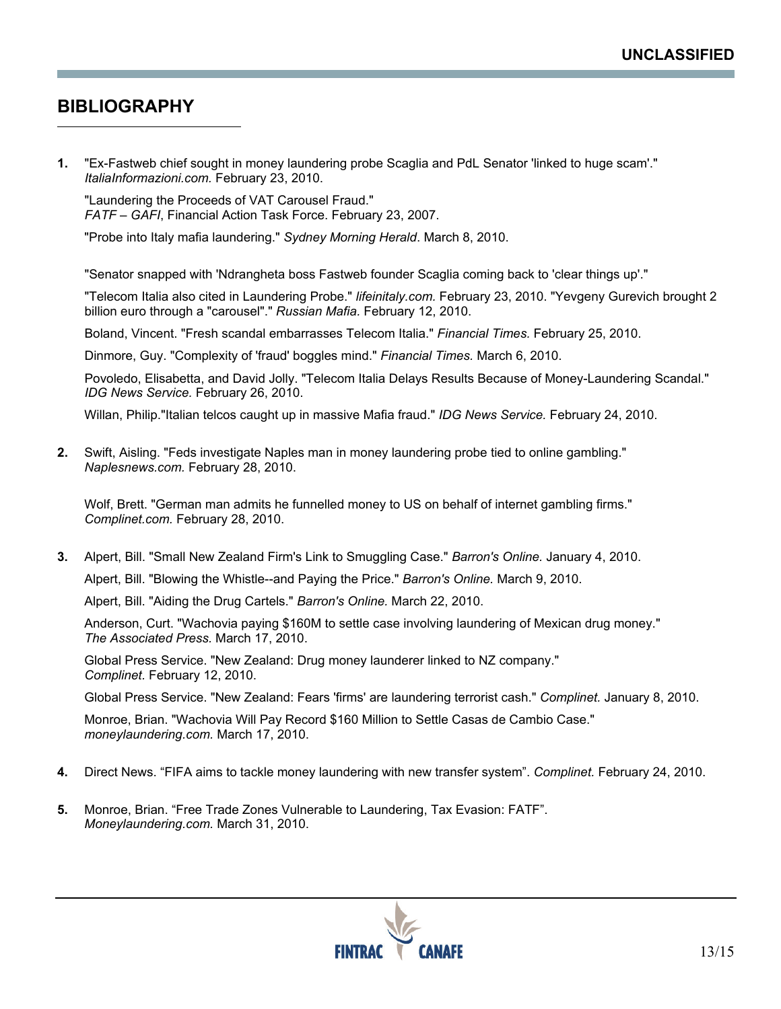## **BIBLIOGRAPHY**

 $\overline{a}$ 

**1.** "Ex-Fastweb chief sought in money laundering probe Scaglia and PdL Senator 'linked to huge scam'." *ItaliaInformazioni.com.* February 23, 2010.

"Laundering the Proceeds of VAT Carousel Fraud." *FATF – GAFI*, Financial Action Task Force. February 23, 2007.

"Probe into Italy mafia laundering." *Sydney Morning Herald*. March 8, 2010.

"Senator snapped with 'Ndrangheta boss Fastweb founder Scaglia coming back to 'clear things up'."

"Telecom Italia also cited in Laundering Probe." *lifeinitaly.com.* February 23, 2010. "Yevgeny Gurevich brought 2 billion euro through a "carousel"." *Russian Mafia.* February 12, 2010.

Boland, Vincent. "Fresh scandal embarrasses Telecom Italia." *Financial Times.* February 25, 2010.

Dinmore, Guy. "Complexity of 'fraud' boggles mind." *Financial Times.* March 6, 2010.

Povoledo, Elisabetta, and David Jolly. "Telecom Italia Delays Results Because of Money-Laundering Scandal." *IDG News Service.* February 26, 2010.

Willan, Philip."Italian telcos caught up in massive Mafia fraud." *IDG News Service.* February 24, 2010.

**2.** Swift, Aisling. "Feds investigate Naples man in money laundering probe tied to online gambling." *Naplesnews.com.* February 28, 2010.

Wolf, Brett. "German man admits he funnelled money to US on behalf of internet gambling firms." *Complinet.com.* February 28, 2010.

**3.** Alpert, Bill. "Small New Zealand Firm's Link to Smuggling Case." *Barron's Online.* January 4, 2010.

Alpert, Bill. "Blowing the Whistle--and Paying the Price." *Barron's Online.* March 9, 2010.

Alpert, Bill. "Aiding the Drug Cartels." *Barron's Online.* March 22, 2010.

Anderson, Curt. "Wachovia paying \$160M to settle case involving laundering of Mexican drug money." *The Associated Press.* March 17, 2010.

Global Press Service. "New Zealand: Drug money launderer linked to NZ company." *Complinet.* February 12, 2010.

Global Press Service. "New Zealand: Fears 'firms' are laundering terrorist cash." *Complinet.* January 8, 2010.

Monroe, Brian. "Wachovia Will Pay Record \$160 Million to Settle Casas de Cambio Case." *moneylaundering.com.* March 17, 2010.

- **4.** Direct News. "FIFA aims to tackle money laundering with new transfer system". *Complinet.* February 24, 2010.
- **5.** Monroe, Brian. "Free Trade Zones Vulnerable to Laundering, Tax Evasion: FATF". *Moneylaundering.com.* March 31, 2010.

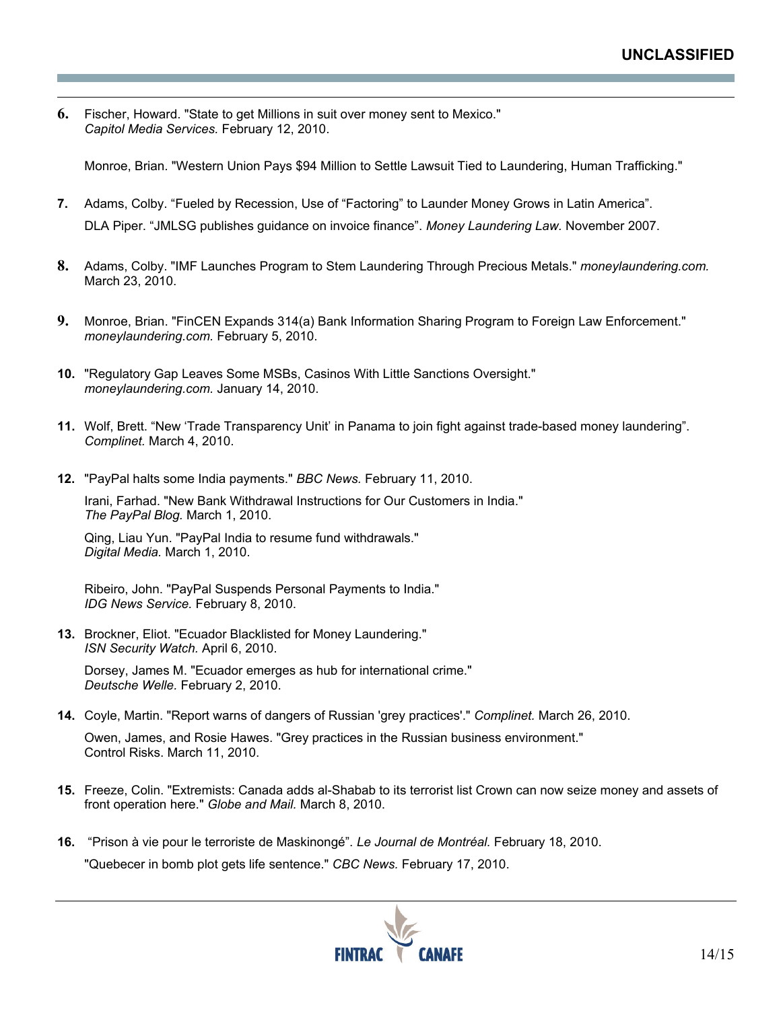**6.** Fischer, Howard. "State to get Millions in suit over money sent to Mexico." *Capitol Media Services.* February 12, 2010.

 $\overline{a}$ 

Monroe, Brian. "Western Union Pays \$94 Million to Settle Lawsuit Tied to Laundering, Human Trafficking."

- **7.** Adams, Colby. "Fueled by Recession, Use of "Factoring" to Launder Money Grows in Latin America". DLA Piper. "JMLSG publishes guidance on invoice finance". *Money Laundering Law.* November 2007.
- **8.** Adams, Colby. "IMF Launches Program to Stem Laundering Through Precious Metals." *moneylaundering.com.* March 23, 2010.
- **9.** Monroe, Brian. "FinCEN Expands 314(a) Bank Information Sharing Program to Foreign Law Enforcement." *moneylaundering.com.* February 5, 2010.
- **10.** "Regulatory Gap Leaves Some MSBs, Casinos With Little Sanctions Oversight." *moneylaundering.com.* January 14, 2010.
- **11.** Wolf, Brett. "New 'Trade Transparency Unit' in Panama to join fight against trade-based money laundering". *Complinet.* March 4, 2010.
- **12.** "PayPal halts some India payments." *BBC News.* February 11, 2010.

Irani, Farhad. "New Bank Withdrawal Instructions for Our Customers in India." *The PayPal Blog.* March 1, 2010.

Qing, Liau Yun. "PayPal India to resume fund withdrawals." *Digital Media.* March 1, 2010.

Ribeiro, John. "PayPal Suspends Personal Payments to India." *IDG News Service.* February 8, 2010.

**13.** Brockner, Eliot. "Ecuador Blacklisted for Money Laundering." *ISN Security Watch.* April 6, 2010.

Dorsey, James M. "Ecuador emerges as hub for international crime." *Deutsche Welle.* February 2, 2010.

**14.** Coyle, Martin. "Report warns of dangers of Russian 'grey practices'." *Complinet.* March 26, 2010.

Owen, James, and Rosie Hawes. "Grey practices in the Russian business environment." Control Risks. March 11, 2010.

- **15.** Freeze, Colin. "Extremists: Canada adds al-Shabab to its terrorist list Crown can now seize money and assets of front operation here." *Globe and Mail.* March 8, 2010.
- **16.** "Prison à vie pour le terroriste de Maskinongé". *Le Journal de Montréal.* February 18, 2010. "Quebecer in bomb plot gets life sentence." *CBC News.* February 17, 2010.